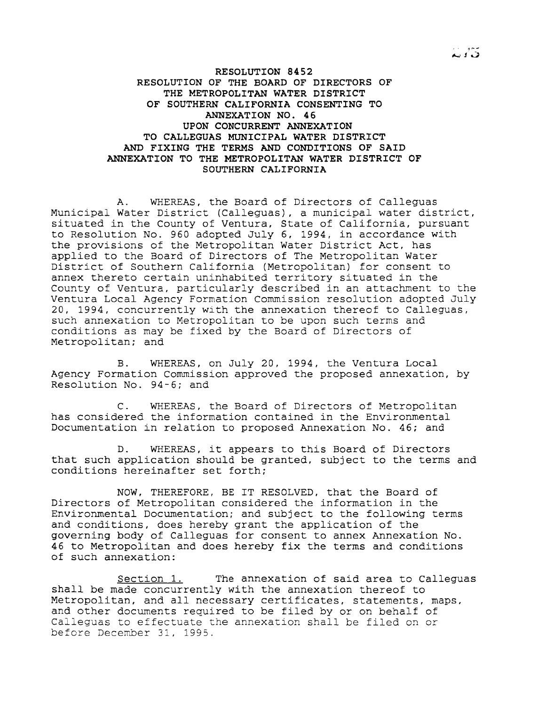**RESOLUTION 8452 RESOLUTION OF THE BOARD OF DIRECTORS OF THE METROPOLITAN WATER DISTRICT OF SOUTHERN CALIFORNIA CONSENTING TO ANNEXATION NO. 46 UPON CONCURRENT ANNEXATION TO CALLEGUAS MUNICIPAL WATER DISTRICT AND FIXING THE TERMS AND CONDITIONS OF SAID ANNEXATION TO THE METROPOLITAN WATER DISTRICT OF SOUTHERN CALIFORNIA**

A. WHEREAS, the Board of Directors of Calleguas Municipal Water District (Calleguas), <sup>a</sup> municipal water district, situated in the County of Ventura, State of California, pursuant to Resolution No. 960 adopted July 6, 1994, in accordance with the provisions of the Metropolitan Water District Act, has applied to the Board of Directors of The Metropolitan Water District of Southern California (Metropolitan) for consent to annex thereto certain uninhabited territory situated in the County of Ventura, particularly described in an attachment to the Ventura Local Agency Formation Commission resolution adopted July 20, 1994, concurrently with the annexation thereof to Calleguas, such annexation to Metropolitan to be upon such terms and conditions as may be fixed by the Board of Directors of Metropolitan; and

B. WHEREAS, on July 20, 1994, the Ventura Local Agency Formation Commission approved the proposed annexation, by Resolution No. 94-6; and

C. WHEREAS, the Board of Directors of Metropolitan has considered the information contained in the Environmental Documentation in relation to proposed Annexation No. 46; and

D. WHEREAS, it appears to this Board of Directors that such application should be granted, subject to the terms and conditions hereinafter set forth;

NOW, THEREFORE, BE IT RESOLVED, that the Board of Directors of Metropolitan considered the information in the Environmental Documentation; and subject to the following terms and conditions, does hereby grant the application of the governing body of Calleguas for consent to annex Annexation No. 46 to Metropolitan and does hereby fix the terms and conditions of such annexation:

Section 1. The annexation of said area to Calleguas shall be made concurrently with the annexation thereof to Metropolitan, and all necessary certificates, statements, maps, and other documents required to be filed by or on behalf of Calleguas to effectuate the annexation shall be filed on or before December 31, 1995.